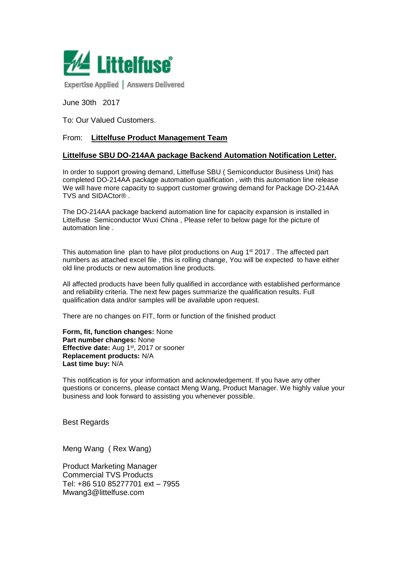

Expertise Applied | Answers Delivered

June 30th 2017

To: Our Valued Customers.

#### From: **Littelfuse Product Management Team**

#### **Littelfuse SBU DO-214AA package Backend Automation Notification Letter.**

In order to support growing demand, Littelfuse SBU ( Semiconductor Business Unit) has completed DO-214AA package automation qualification , with this automation line release We will have more capacity to support customer growing demand for Package DO-214AA TVS and SIDACtor® .

The DO-214AA package backend automation line for capacity expansion is installed in Littelfuse Semiconductor Wuxi China , Please refer to below page for the picture of automation line .

This automation line plan to have pilot productions on Aug  $1<sup>st</sup> 2017$ . The affected part numbers as attached excel file , this is rolling change, You will be expected to have either old line products or new automation line products.

All affected products have been fully qualified in accordance with established performance and reliability criteria. The next few pages summarize the qualification results. Full qualification data and/or samples will be available upon request.

There are no changes on FIT, form or function of the finished product

**Form, fit, function changes:** None **Part number changes:** None **Effective date:** Aug 1<sup>st</sup>, 2017 or sooner **Replacement products:** N/A **Last time buy:** N/A

This notification is for your information and acknowledgement. If you have any other questions or concerns, please contact Meng Wang, Product Manager. We highly value your business and look forward to assisting you whenever possible.

Best Regards

Meng Wang ( Rex Wang)

Product Marketing Manager Commercial TVS Products Tel: +86 510 85277701 ext – 7955 [Mwang3@littelfuse.com](mailto:Mwang3@littelfuse.com)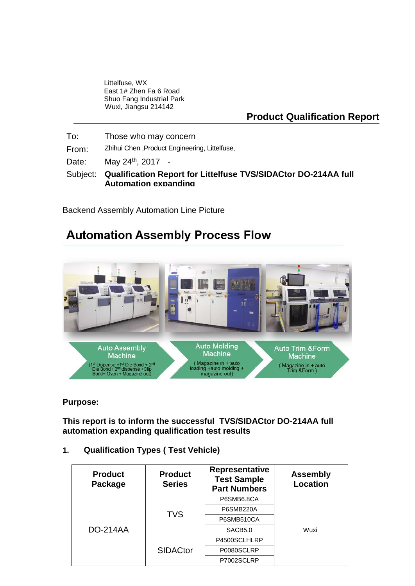Littelfuse, WX East 1# Zhen Fa 6 Road Shuo Fang Industrial Park Wuxi, Jiangsu 214142

## **Product Qualification Report**

To: Those who may concern From: Zhihui Chen ,Product Engineering, Littelfuse, Date: May 24<sup>th</sup>, 2017 -Subject: **Qualification Report for Littelfuse TVS/SIDACtor DO-214AA full Automation expanding**

Backend Assembly Automation Line Picture

# **Automation Assembly Process Flow**



### **Purpose:**

**This report is to inform the successful TVS/SIDACtor DO-214AA full automation expanding qualification test results**

### **1. Qualification Types ( Test Vehicle)**

| <b>Product</b><br>Package | <b>Product</b><br><b>Series</b> | <b>Representative</b><br><b>Test Sample</b><br><b>Part Numbers</b> | <b>Assembly</b><br><b>Location</b> |  |
|---------------------------|---------------------------------|--------------------------------------------------------------------|------------------------------------|--|
| <b>DO-214AA</b>           | <b>TVS</b>                      | P6SMB6.8CA                                                         |                                    |  |
|                           |                                 | P6SMB220A                                                          |                                    |  |
|                           |                                 | P6SMB510CA                                                         | Wuxi                               |  |
|                           |                                 | SACB5.0                                                            |                                    |  |
|                           | <b>SIDACtor</b>                 | P4500SCLHLRP                                                       |                                    |  |
|                           |                                 | P0080SCLRP                                                         |                                    |  |
|                           |                                 | P7002SCLRP                                                         |                                    |  |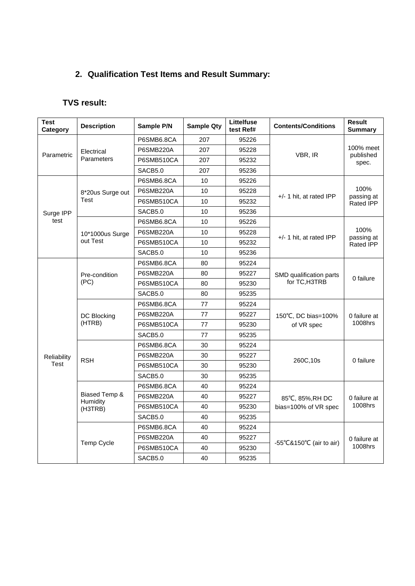# **2. Qualification Test Items and Result Summary:**

## **TVS result:**

| <b>Test</b><br>Category                                                                                                                                                                              | <b>Description</b> | Sample P/N | <b>Sample Qty</b> | Littelfuse<br>test Ref# | <b>Contents/Conditions</b>               | <b>Result</b><br><b>Summary</b> |
|------------------------------------------------------------------------------------------------------------------------------------------------------------------------------------------------------|--------------------|------------|-------------------|-------------------------|------------------------------------------|---------------------------------|
|                                                                                                                                                                                                      |                    | P6SMB6.8CA | 207               | 95226                   |                                          | 100% meet<br>published<br>spec. |
| Electrical<br>Parametric<br>Parameters<br><b>Test</b><br>Surge IPP<br>test<br>out Test<br>Pre-condition<br>(PC)<br>DC Blocking<br>(HTRB)<br>Reliability<br><b>RSH</b><br>Test<br>Humidity<br>(H3TRB) |                    | P6SMB220A  | 207               | 95228                   | VBR, IR                                  |                                 |
|                                                                                                                                                                                                      |                    | P6SMB510CA | 207               | 95232                   |                                          |                                 |
|                                                                                                                                                                                                      |                    | SACB5.0    | 207               | 95236                   |                                          |                                 |
|                                                                                                                                                                                                      |                    | P6SMB6.8CA | 10                | 95226                   |                                          |                                 |
| 8*20us Surge out<br>10*1000us Surge<br>Biased Temp &                                                                                                                                                 | P6SMB220A          | 10         | 95228             | +/- 1 hit, at rated IPP | 100%<br>passing at                       |                                 |
|                                                                                                                                                                                                      |                    | P6SMB510CA | 10                | 95232                   |                                          | Rated IPP                       |
|                                                                                                                                                                                                      | SACB5.0            | 10         | 95236             |                         |                                          |                                 |
|                                                                                                                                                                                                      | P6SMB6.8CA         | 10         | 95226             |                         |                                          |                                 |
|                                                                                                                                                                                                      |                    | P6SMB220A  | 10                | 95228                   | $+/-$ 1 hit, at rated IPP                | 100%<br>passing at<br>Rated IPP |
|                                                                                                                                                                                                      |                    | P6SMB510CA | 10                | 95232                   |                                          |                                 |
|                                                                                                                                                                                                      |                    | SACB5.0    | 10                | 95236                   |                                          |                                 |
|                                                                                                                                                                                                      |                    | P6SMB6.8CA | 80                | 95224                   |                                          | 0 failure                       |
|                                                                                                                                                                                                      |                    | P6SMB220A  | 80                | 95227                   | SMD qualification parts                  |                                 |
|                                                                                                                                                                                                      |                    | P6SMB510CA | 80                | 95230                   | for TC, H3TRB                            |                                 |
|                                                                                                                                                                                                      |                    | SACB5.0    | 80                | 95235                   |                                          |                                 |
|                                                                                                                                                                                                      |                    | P6SMB6.8CA | 77                | 95224                   |                                          |                                 |
|                                                                                                                                                                                                      | <b>P6SMB220A</b>   | 77         | 95227             | 150°C, DC bias=100%     | 0 failure at<br>1008hrs                  |                                 |
|                                                                                                                                                                                                      | P6SMB510CA         | 77         | 95230             | of VR spec              |                                          |                                 |
|                                                                                                                                                                                                      | SACB5.0            | 77         | 95235             |                         |                                          |                                 |
|                                                                                                                                                                                                      | P6SMB6.8CA         | 30         | 95224             |                         |                                          |                                 |
|                                                                                                                                                                                                      |                    | P6SMB220A  | 30                | 95227                   | 260C,10s                                 | 0 failure                       |
|                                                                                                                                                                                                      |                    | P6SMB510CA | 30                | 95230                   |                                          |                                 |
|                                                                                                                                                                                                      |                    | SACB5.0    | 30                | 95235                   |                                          |                                 |
|                                                                                                                                                                                                      |                    | P6SMB6.8CA | 40                | 95224                   |                                          | 0 failure at<br>1008hrs         |
|                                                                                                                                                                                                      |                    | P6SMB220A  | 40                | 95227                   | 85°C, 85%, RH DC<br>bias=100% of VR spec |                                 |
|                                                                                                                                                                                                      |                    | P6SMB510CA | 40                | 95230                   |                                          |                                 |
|                                                                                                                                                                                                      |                    | SACB5.0    | 40                | 95235                   |                                          |                                 |
|                                                                                                                                                                                                      |                    | P6SMB6.8CA | 40                | 95224                   |                                          | 0 failure at<br>1008hrs         |
|                                                                                                                                                                                                      | Temp Cycle         | P6SMB220A  | 40                | 95227                   | -55°C&150°C (air to air)                 |                                 |
|                                                                                                                                                                                                      |                    | P6SMB510CA | 40                | 95230                   |                                          |                                 |
|                                                                                                                                                                                                      |                    | SACB5.0    | 40                | 95235                   |                                          |                                 |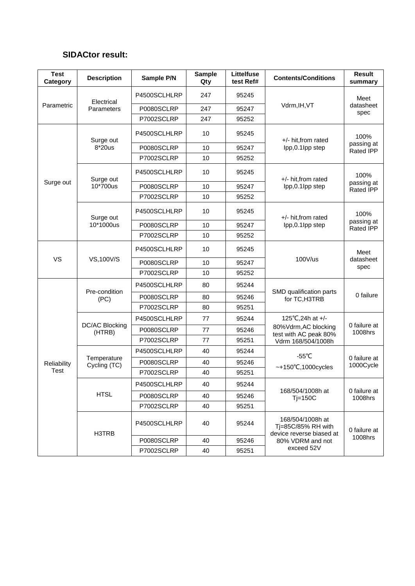## **SIDACtor result:**

| <b>Test</b><br>Category                                   | <b>Description</b>       | Sample P/N   | <b>Sample</b><br>Qty | Littelfuse<br>test Ref#                  | <b>Contents/Conditions</b>                                         | <b>Result</b><br>summary               |
|-----------------------------------------------------------|--------------------------|--------------|----------------------|------------------------------------------|--------------------------------------------------------------------|----------------------------------------|
| Electrical<br>Parametric<br>Parameters                    |                          | P4500SCLHLRP | 247                  | 95245                                    |                                                                    | Meet                                   |
|                                                           | P0080SCLRP               | 247          | 95247                | Vdrm, IH, VT                             | datasheet<br>spec                                                  |                                        |
|                                                           | P7002SCLRP               | 247          | 95252                |                                          |                                                                    |                                        |
| Surge out                                                 | P4500SCLHLRP             | 10           | 95245                | $+/-$ hit, from rated                    | 100%                                                               |                                        |
|                                                           | $8*20us$                 | P0080SCLRP   | 10                   | 95247                                    | lpp,0.1lpp step                                                    | passing at<br><b>Rated IPP</b>         |
|                                                           |                          | P7002SCLRP   | 10                   | 95252                                    |                                                                    |                                        |
|                                                           | Surge out                | P4500SCLHLRP | 10                   | 95245                                    | +/- hit, from rated                                                | 100%<br>passing at<br>Rated IPP        |
| Surge out                                                 | 10*700us                 | P0080SCLRP   | 10                   | 95247                                    | lpp,0.1lpp step                                                    |                                        |
|                                                           |                          | P7002SCLRP   | 10                   | 95252                                    |                                                                    |                                        |
|                                                           | Surge out                | P4500SCLHLRP | 10                   | 95245                                    | +/- hit, from rated                                                | 100%<br>passing at<br><b>Rated IPP</b> |
|                                                           | 10*1000us                | P0080SCLRP   | 10                   | 95247                                    | lpp, 0.1lpp step                                                   |                                        |
|                                                           |                          | P7002SCLRP   | 10                   | 95252                                    |                                                                    |                                        |
|                                                           |                          | P4500SCLHLRP | 10                   | 95245                                    |                                                                    | Meet<br>datasheet<br>spec              |
| <b>VS</b>                                                 | VS,100V/S                | P0080SCLRP   | 10                   | 95247                                    | 100V/us                                                            |                                        |
|                                                           |                          | P7002SCLRP   | 10                   | 95252                                    |                                                                    |                                        |
|                                                           |                          | P4500SCLHLRP | 80                   | 95244                                    |                                                                    |                                        |
| Pre-condition<br>(PC)                                     | P0080SCLRP               | 80           | 95246                | SMD qualification parts<br>for TC, H3TRB | 0 failure                                                          |                                        |
|                                                           |                          | P7002SCLRP   | 80                   | 95251                                    |                                                                    |                                        |
|                                                           |                          | P4500SCLHLRP | 77                   | 95244                                    | 125°C, 24h at +/-                                                  | 0 failure at<br>1008hrs                |
|                                                           | DC/AC Blocking<br>(HTRB) | P0080SCLRP   | 77                   | 95246                                    | 80%Vdrm, AC blocking<br>test with AC peak 80%                      |                                        |
|                                                           | P7002SCLRP               | 77           | 95251                | Vdrm 168/504/1008h                       |                                                                    |                                        |
|                                                           |                          | P4500SCLHLRP | 40                   | 95244                                    | -55 $°C$                                                           |                                        |
| Temperature<br>Reliability<br>Cycling (TC)<br><b>Test</b> | P0080SCLRP               | 40           | 95246                |                                          | 0 failure at<br>1000Cycle                                          |                                        |
|                                                           | P7002SCLRP               | 40           | 95251                | $-+150^{\circ}$ C,1000cycles             |                                                                    |                                        |
| <b>HTSL</b>                                               |                          | P4500SCLHLRP | 40                   | 95244                                    |                                                                    | 0 failure at<br>1008hrs                |
|                                                           |                          | P0080SCLRP   | 40                   | 95246                                    | 168/504/1008h at<br>$Tj=150C$                                      |                                        |
|                                                           |                          | P7002SCLRP   | 40                   | 95251                                    |                                                                    |                                        |
|                                                           | H3TRB                    | P4500SCLHLRP | 40                   | 95244                                    | 168/504/1008h at<br>Tj=85C/85% RH with<br>device reverse biased at | 0 failure at<br>1008hrs                |
|                                                           |                          | P0080SCLRP   | 40                   | 95246                                    | 80% VDRM and not                                                   |                                        |
|                                                           |                          | P7002SCLRP   | 40                   | 95251                                    | exceed 52V                                                         |                                        |